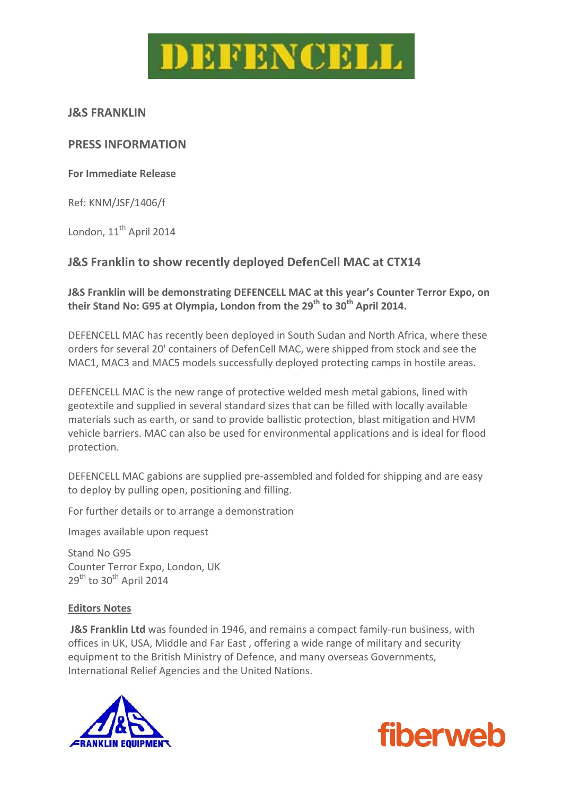

### **J&S FRANKLIN**

## **PRESS INFORMATION**

### **For Immediate Release**

Ref: KNM/JSF/1406/f

London, 11<sup>th</sup> April 2014

# **J&S Franklin to show recently deployed DefenCell MAC at CTX14**

## **J&S Franklin will be demonstrating DEFENCELL MAC at this year's Counter Terror Expo, on their Stand No: G95 at Olympia, London from the 29th to 30th April 2014.**

DEFENCELL MAC has recently been deployed in South Sudan and North Africa, where these orders for several 20' containers of DefenCell MAC, were shipped from stock and see the MAC1, MAC3 and MAC5 models successfully deployed protecting camps in hostile areas.

DEFENCELL MAC is the new range of protective welded mesh metal gabions, lined with geotextile and supplied in several standard sizes that can be filled with locally available materials such as earth, or sand to provide ballistic protection, blast mitigation and HVM vehicle barriers. MAC can also be used for environmental applications and is ideal for flood protection.

DEFENCELL MAC gabions are supplied pre‐assembled and folded for shipping and are easy to deploy by pulling open, positioning and filling.

For further details or to arrange a demonstration

Images available upon request

Stand No G95 Counter Terror Expo, London, UK  $29<sup>th</sup>$  to 30<sup>th</sup> April 2014

#### **Editors Notes**

**J&S Franklin Ltd** was founded in 1946, and remains a compact family‐run business, with offices in UK, USA, Middle and Far East , offering a wide range of military and security equipment to the British Ministry of Defence, and many overseas Governments, International Relief Agencies and the United Nations.